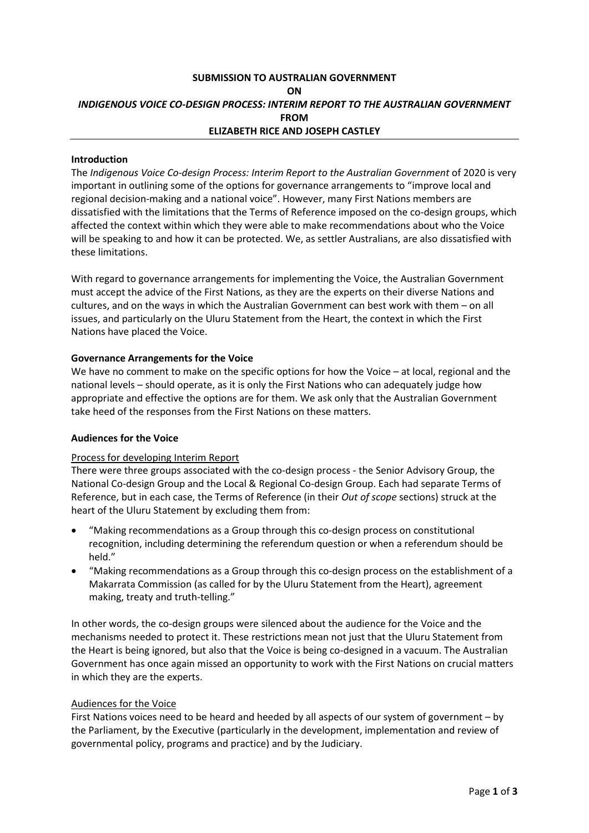# **SUBMISSION TO AUSTRALIAN GOVERNMENT ON** *INDIGENOUS VOICE CO-DESIGN PROCESS: INTERIM REPORT TO THE AUSTRALIAN GOVERNMENT* **FROM ELIZABETH RICE AND JOSEPH CASTLEY**

#### **Introduction**

The *Indigenous Voice Co-design Process: Interim Report to the Australian Government* of 2020 is very important in outlining some of the options for governance arrangements to "improve local and regional decision-making and a national voice". However, many First Nations members are dissatisfied with the limitations that the Terms of Reference imposed on the co-design groups, which affected the context within which they were able to make recommendations about who the Voice will be speaking to and how it can be protected. We, as settler Australians, are also dissatisfied with these limitations.

With regard to governance arrangements for implementing the Voice, the Australian Government must accept the advice of the First Nations, as they are the experts on their diverse Nations and cultures, and on the ways in which the Australian Government can best work with them – on all issues, and particularly on the Uluru Statement from the Heart, the context in which the First Nations have placed the Voice.

## **Governance Arrangements for the Voice**

We have no comment to make on the specific options for how the Voice – at local, regional and the national levels – should operate, as it is only the First Nations who can adequately judge how appropriate and effective the options are for them. We ask only that the Australian Government take heed of the responses from the First Nations on these matters.

#### **Audiences for the Voice**

#### Process for developing Interim Report

There were three groups associated with the co-design process - the Senior Advisory Group, the National Co-design Group and the Local & Regional Co-design Group. Each had separate Terms of Reference, but in each case, the Terms of Reference (in their *Out of scope* sections) struck at the heart of the Uluru Statement by excluding them from:

- "Making recommendations as a Group through this co-design process on constitutional recognition, including determining the referendum question or when a referendum should be held."
- "Making recommendations as a Group through this co-design process on the establishment of a Makarrata Commission (as called for by the Uluru Statement from the Heart), agreement making, treaty and truth-telling."

In other words, the co-design groups were silenced about the audience for the Voice and the mechanisms needed to protect it. These restrictions mean not just that the Uluru Statement from the Heart is being ignored, but also that the Voice is being co-designed in a vacuum. The Australian Government has once again missed an opportunity to work with the First Nations on crucial matters in which they are the experts.

#### Audiences for the Voice

First Nations voices need to be heard and heeded by all aspects of our system of government – by the Parliament, by the Executive (particularly in the development, implementation and review of governmental policy, programs and practice) and by the Judiciary.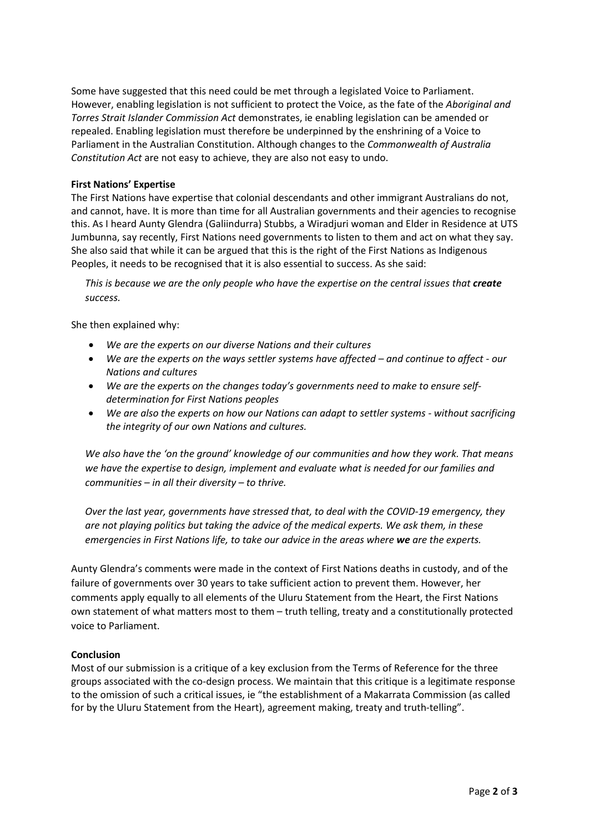Some have suggested that this need could be met through a legislated Voice to Parliament. However, enabling legislation is not sufficient to protect the Voice, as the fate of the *Aboriginal and Torres Strait Islander Commission Act* demonstrates, ie enabling legislation can be amended or repealed. Enabling legislation must therefore be underpinned by the enshrining of a Voice to Parliament in the Australian Constitution. Although changes to the *Commonwealth of Australia Constitution Act* are not easy to achieve, they are also not easy to undo.

### **First Nations' Expertise**

The First Nations have expertise that colonial descendants and other immigrant Australians do not, and cannot, have. It is more than time for all Australian governments and their agencies to recognise this. As I heard Aunty Glendra (Galiindurra) Stubbs, a Wiradjuri woman and Elder in Residence at UTS Jumbunna, say recently, First Nations need governments to listen to them and act on what they say. She also said that while it can be argued that this is the right of the First Nations as Indigenous Peoples, it needs to be recognised that it is also essential to success. As she said:

*This is because we are the only people who have the expertise on the central issues that create success.* 

She then explained why:

- *We are the experts on our diverse Nations and their cultures*
- *We are the experts on the ways settler systems have affected – and continue to affect - our Nations and cultures*
- *We are the experts on the changes today's governments need to make to ensure selfdetermination for First Nations peoples*
- *We are also the experts on how our Nations can adapt to settler systems - without sacrificing the integrity of our own Nations and cultures.*

*We also have the 'on the ground' knowledge of our communities and how they work. That means we have the expertise to design, implement and evaluate what is needed for our families and communities – in all their diversity – to thrive.*

*Over the last year, governments have stressed that, to deal with the COVID-19 emergency, they are not playing politics but taking the advice of the medical experts. We ask them, in these emergencies in First Nations life, to take our advice in the areas where we are the experts.*

Aunty Glendra's comments were made in the context of First Nations deaths in custody, and of the failure of governments over 30 years to take sufficient action to prevent them. However, her comments apply equally to all elements of the Uluru Statement from the Heart, the First Nations own statement of what matters most to them – truth telling, treaty and a constitutionally protected voice to Parliament.

#### **Conclusion**

Most of our submission is a critique of a key exclusion from the Terms of Reference for the three groups associated with the co-design process. We maintain that this critique is a legitimate response to the omission of such a critical issues, ie "the establishment of a Makarrata Commission (as called for by the Uluru Statement from the Heart), agreement making, treaty and truth-telling".